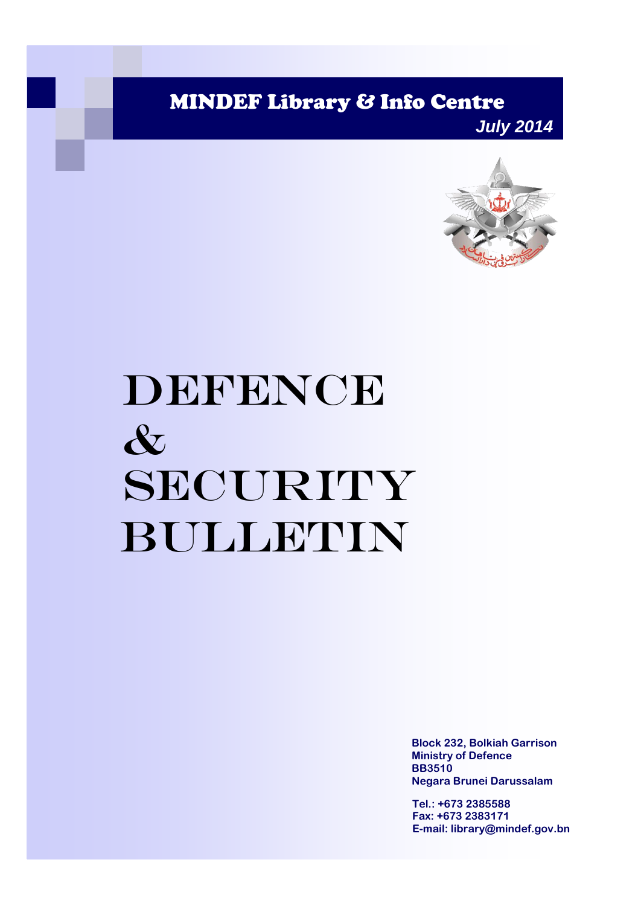MINDEF Library & Info Centre

*July 2014*



# DEFENCE & SECURITY Bulletin

**Block 232, Bolkiah Garrison Ministry of Defence BB3510 Negara Brunei Darussalam**

**Tel.: +673 2385588 Fax: +673 2383171 E-mail: library@mindef.gov.bn**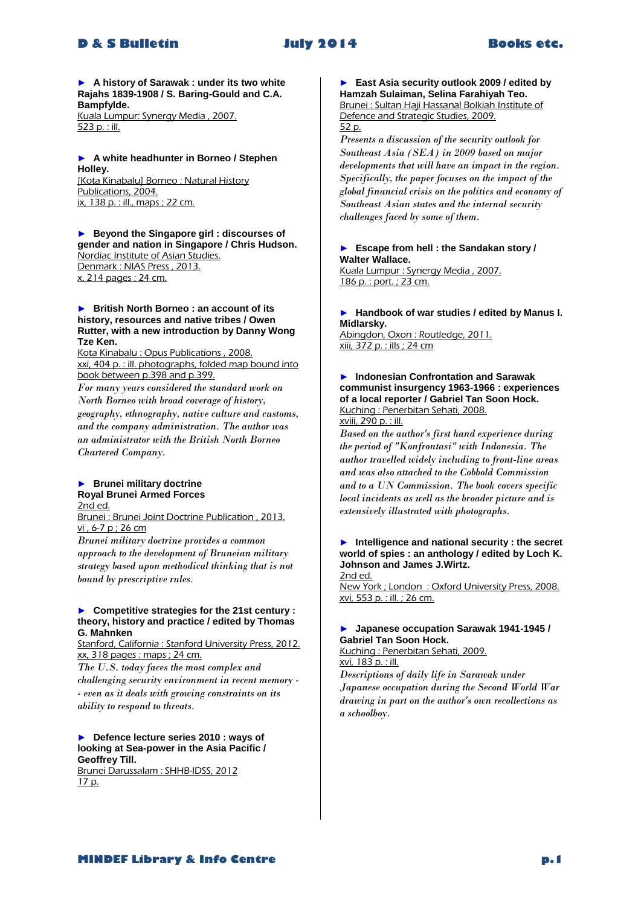# **D & S Bulletin July 2014 Books etc.**

► **A history of Sarawak : under its two white Rajahs 1839-1908 / S. Baring-Gould and C.A. Bampfylde.** Kuala Lumpur: Synergy Media , 2007. 523 p. : ill.

# ► **A white headhunter in Borneo / Stephen Holley.** [Kota Kinabalu] Borneo : Natural History

Publications, 2004. ix, 138 p. : ill., maps ; 22 cm.

#### ► **Beyond the Singapore girl : discourses of gender and nation in Singapore / Chris Hudson.** Nordiac Institute of Asian Studies.

Denmark : NIAS Press, 2013. x, 214 pages ; 24 cm.

#### ► **British North Borneo : an account of its history, resources and native tribes / Owen Rutter, with a new introduction by Danny Wong Tze Ken.**

Kota Kinabalu : Opus Publications , 2008. xxi, 404 p. : ill. photographs, folded map bound into book between p.398 and p.399.

*For many years considered the standard work on North Borneo with broad coverage of history, geography, ethnography, native culture and customs, and the company administration. The author was an administrator with the British North Borneo Chartered Company.* 

#### ► **Brunei military doctrine Royal Brunei Armed Forces** 2nd ed.

Brunei : Brunei Joint Doctrine Publication , 2013. vi , 6-7 p ; 26 cm

*Brunei military doctrine provides a common approach to the development of Bruneian military strategy based upon methodical thinking that is not bound by prescriptive rules.* 

### ► **Competitive strategies for the 21st century : theory, history and practice / edited by Thomas G. Mahnken**

Stanford, California : Stanford University Press, 2012. xx, 318 pages : maps ; 24 cm.

*The U.S. today faces the most complex and challenging security environment in recent memory - - even as it deals with growing constraints on its ability to respond to threats.* 

# ► **Defence lecture series 2010 : ways of looking at Sea-power in the Asia Pacific / Geoffrey Till.**

Brunei Darussalam : SHHB-IDSS, 2012 17 p.

► **East Asia security outlook 2009 / edited by Hamzah Sulaiman, Selina Farahiyah Teo.** Brunei : Sultan Haji Hassanal Bolkiah Institute of

Defence and Strategic Studies, 2009. 52 p. *Presents a discussion of the security outlook for* 

*Southeast Asia (SEA) in 2009 based on major developments that will have an impact in the region. Specifically, the paper focuses on the impact of the global financial crisis on the politics and economy of Southeast Asian states and the internal security challenges faced by some of them.* 

# ► **Escape from hell : the Sandakan story / Walter Wallace.**

Kuala Lumpur : Synergy Media , 2007. 186 p. : port. ; 23 cm.

► **Handbook of war studies / edited by Manus I. Midlarsky.**

Abingdon, Oxon : Routledge, 2011. xiii, 372 p. : ills ; 24 cm

► **Indonesian Confrontation and Sarawak communist insurgency 1963-1966 : experiences of a local reporter / Gabriel Tan Soon Hock.** Kuching : Penerbitan Sehati, 2008. xviii, 290 p. : ill.

*Based on the author's first hand experience during the period of "Konfrontasi" with Indonesia. The author travelled widely including to front-line areas and was also attached to the Cobbold Commission and to a UN Commission. The book covers specific local incidents as well as the broader picture and is extensively illustrated with photographs.* 

# ► **Intelligence and national security : the secret world of spies : an anthology / edited by Loch K. Johnson and James J.Wirtz.**

2nd ed. New York ; London : Oxford University Press, 2008. xvi, 553 p. : ill. ; 26 cm.

# ► **Japanese occupation Sarawak 1941-1945 / Gabriel Tan Soon Hock.**

Kuching : Penerbitan Sehati, 2009. xvi, 183 p. : ill.

*Descriptions of daily life in Sarawak under Japanese occupation during the Second World War drawing in part on the author's own recollections as a schoolboy.*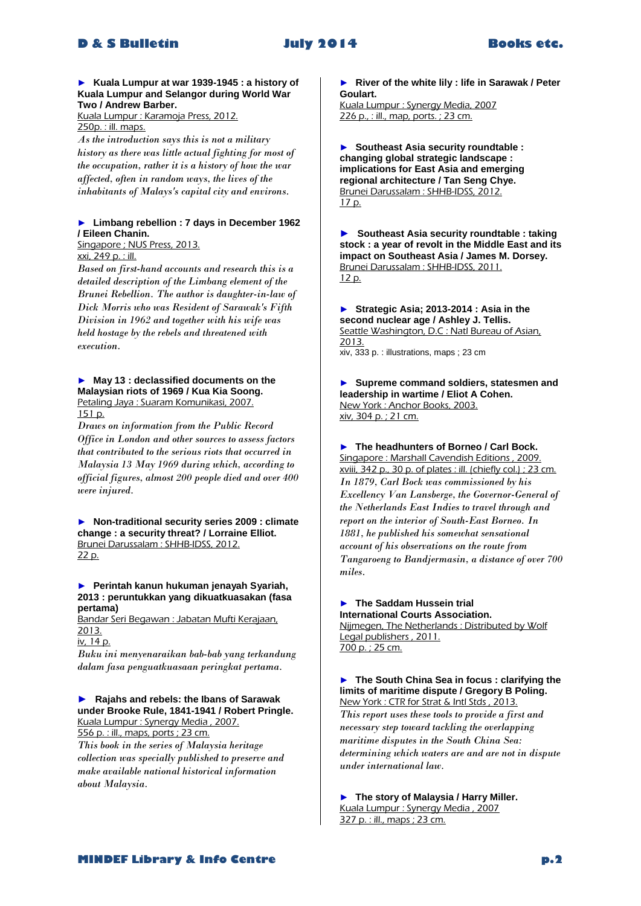#### ► **Kuala Lumpur at war 1939-1945 : a history of Kuala Lumpur and Selangor during World War Two / Andrew Barber.**

Kuala Lumpur : Karamoja Press, 2012. 250p. : ill. maps.

*As the introduction says this is not a military history as there was little actual fighting for most of the occupation, rather it is a history of how the war affected, often in random ways, the lives of the inhabitants of Malays's capital city and environs.* 

### ► **Limbang rebellion : 7 days in December 1962 / Eileen Chanin.**

Singapore ; NUS Press, 2013. xxi, 249 p. : ill.

*Based on first-hand accounts and research this is a detailed description of the Limbang element of the Brunei Rebellion. The author is daughter-in-law of Dick Morris who was Resident of Sarawak's Fifth Division in 1962 and together with his wife was held hostage by the rebels and threatened with execution.* 

## ► **May 13 : declassified documents on the Malaysian riots of 1969 / Kua Kia Soong.** Petaling Jaya : Suaram Komunikasi, 2007.

151 p.

*Draws on information from the Public Record Office in London and other sources to assess factors that contributed to the serious riots that occurred in Malaysia 13 May 1969 during which, according to official figures, almost 200 people died and over 400 were injured.* 

► **Non-traditional security series 2009 : climate change : a security threat? / Lorraine Elliot.** Brunei Darussalam : SHHB-IDSS, 2012. 22 p.

### ► **Perintah kanun hukuman jenayah Syariah, 2013 : peruntukkan yang dikuatkuasakan (fasa pertama)**

Bandar Seri Begawan : Jabatan Mufti Kerajaan, 2013.

iv, 14 p.

*Buku ini menyenaraikan bab-bab yang terkandung dalam fasa penguatkuasaan peringkat pertama.* 

#### **► Rajahs and rebels: the Ibans of Sarawak under Brooke Rule, 1841-1941 / Robert Pringle.** Kuala Lumpur : Synergy Media , 2007. 556 p. : ill., maps, ports ; 23 cm.

*This book in the series of Malaysia heritage collection was specially published to preserve and make available national historical information about Malaysia.* 

► **River of the white lily : life in Sarawak / Peter Goulart.**

Kuala Lumpur : Synergy Media, 2007 226 p., : ill., map, ports. ; 23 cm.

► **Southeast Asia security roundtable : changing global strategic landscape : implications for East Asia and emerging regional architecture / Tan Seng Chye.** Brunei Darussalam : SHHB-IDSS, 2012. 17 p.

**► Southeast Asia security roundtable : taking stock : a year of revolt in the Middle East and its impact on Southeast Asia / James M. Dorsey.** Brunei Darussalam : SHHB-IDSS, 2011. 12 p.

► **Strategic Asia; 2013-2014 : Asia in the second nuclear age / Ashley J. Tellis.** Seattle Washington, D.C : Natl Bureau of Asian, 2013. xiv, 333 p. : illustrations, maps ; 23 cm

► **Supreme command soldiers, statesmen and leadership in wartime / Eliot A Cohen.** New York : Anchor Books, 2003. xiv, 304 p. ; 21 cm.

► **The headhunters of Borneo / Carl Bock.** Singapore : Marshall Cavendish Editions , 2009. xviii, 342 p., 30 p. of plates : ill. (chiefly col.) ; 23 cm. *In 1879, Carl Bock was commissioned by his Excellency Van Lansberge, the Governor-General of the Netherlands East Indies to travel through and report on the interior of South-East Borneo. In 1881, he published his somewhat sensational account of his observations on the route from Tangaroeng to Bandjermasin, a distance of over 700 miles.* 

#### ► **The Saddam Hussein trial International Courts Association.**

Nijmegen, The Netherlands : Distributed by Wolf Legal publishers , 2011. 700 p. ; 25 cm.

#### ► **The South China Sea in focus : clarifying the limits of maritime dispute / Gregory B Poling.** New York : CTR for Strat & Intl Stds , 2013.

*This report uses these tools to provide a first and necessary step toward tackling the overlapping maritime disputes in the South China Sea: determining which waters are and are not in dispute under international law.* 

► **The story of Malaysia / Harry Miller.** Kuala Lumpur : Synergy Media , 2007 327 p. : ill., maps ; 23 cm.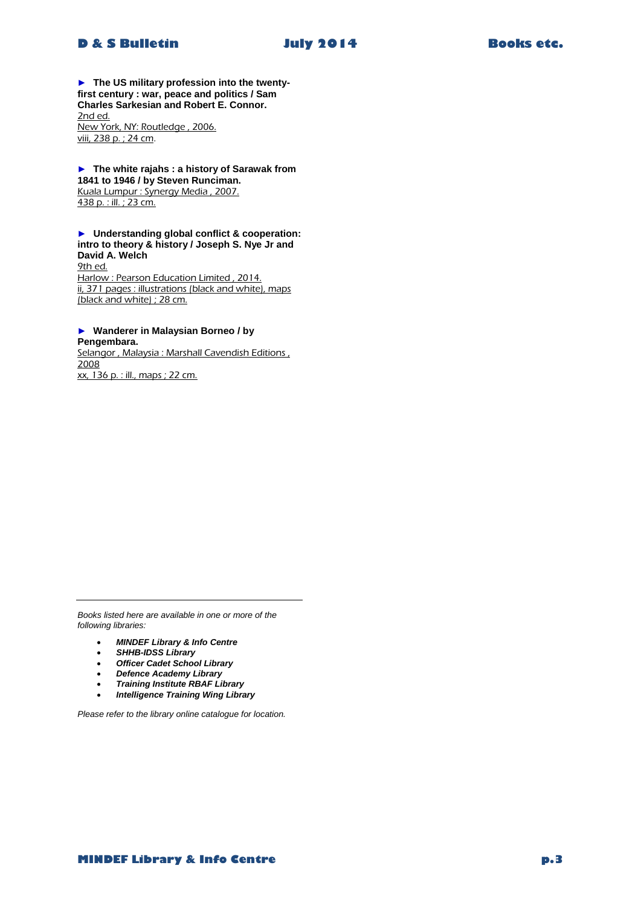

► **The US military profession into the twentyfirst century : war, peace and politics / Sam Charles Sarkesian and Robert E. Connor.** 2nd ed. New York, NY: Routledge , 2006. viii, 238 p. ; 24 cm.

► **The white rajahs : a history of Sarawak from 1841 to 1946 / by Steven Runciman.** Kuala Lumpur : Synergy Media , 2007. 438 p. : ill. ; 23 cm.

► **Understanding global conflict & cooperation: intro to theory & history / Joseph S. Nye Jr and David A. Welch** 9th ed. Harlow : Pearson Education Limited , 2014. ii, 371 pages : illustrations (black and white), maps (black and white) ; 28 cm.

#### ► **Wanderer in Malaysian Borneo / by Pengembara.**

Selangor, Malaysia : Marshall Cavendish Editions, 2008 xx, 136 p. : ill., maps ; 22 cm.

*Books listed here are available in one or more of the following libraries:*

- *MINDEF Library & Info Centre*
- *SHHB-IDSS Library*
- *Officer Cadet School Library*
- *Defence Academy Library*
- *Training Institute RBAF Library*
- *Intelligence Training Wing Library*

*Please refer to the library online catalogue for location.*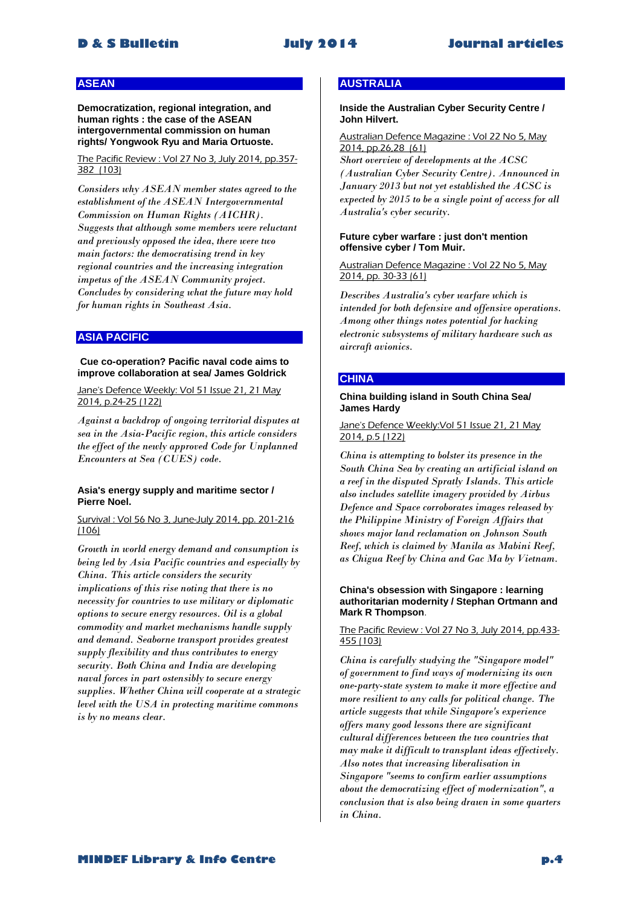# **ASEAN**

**Democratization, regional integration, and human rights : the case of the ASEAN intergovernmental commission on human rights/ Yongwook Ryu and Maria Ortuoste.**

#### The Pacific Review : Vol 27 No 3, July 2014, pp.357- 382 (103)

*Considers why ASEAN member states agreed to the establishment of the ASEAN Intergovernmental Commission on Human Rights (AICHR). Suggests that although some members were reluctant and previously opposed the idea, there were two main factors: the democratising trend in key regional countries and the increasing integration impetus of the ASEAN Community project. Concludes by considering what the future may hold for human rights in Southeast Asia.* 

# **ASIA PACIFIC**

#### **Cue co-operation? Pacific naval code aims to improve collaboration at sea/ James Goldrick**

Jane's Defence Weekly: Vol 51 Issue 21, 21 May 2014, p.24-25 (122)

*Against a backdrop of ongoing territorial disputes at sea in the Asia-Pacific region, this article considers the effect of the newly approved Code for Unplanned Encounters at Sea (CUES) code.* 

#### **Asia's energy supply and maritime sector / Pierre Noel.**

#### Survival : Vol 56 No 3, June-July 2014, pp. 201-216 (106)

*Growth in world energy demand and consumption is being led by Asia Pacific countries and especially by China. This article considers the security implications of this rise noting that there is no necessity for countries to use military or diplomatic options to secure energy resources. Oil is a global commodity and market mechanisms handle supply and demand. Seaborne transport provides greatest supply flexibility and thus contributes to energy security. Both China and India are developing naval forces in part ostensibly to secure energy supplies. Whether China will cooperate at a strategic level with the USA in protecting maritime commons is by no means clear.* 

# **AUSTRALIA**

**Inside the Australian Cyber Security Centre / John Hilvert.**

Australian Defence Magazine : Vol 22 No 5, May 2014, pp.26,28 (61)

*Short overview of developments at the ACSC (Australian Cyber Security Centre). Announced in January 2013 but not yet established the ACSC is expected by 2015 to be a single point of access for all Australia's cyber security.* 

#### **Future cyber warfare : just don't mention offensive cyber / Tom Muir.**

Australian Defence Magazine : Vol 22 No 5, May 2014, pp. 30-33 (61)

*Describes Australia's cyber warfare which is intended for both defensive and offensive operations. Among other things notes potential for hacking electronic subsystems of military hardware such as aircraft avionics.* 

#### **CHINA**

#### **China building island in South China Sea/ James Hardy**

# Jane's Defence Weekly:Vol 51 Issue 21, 21 May 2014, p.5 (122)

*China is attempting to bolster its presence in the South China Sea by creating an artificial island on a reef in the disputed Spratly Islands. This article also includes satellite imagery provided by Airbus Defence and Space corroborates images released by the Philippine Ministry of Foreign Affairs that shows major land reclamation on Johnson South Reef, which is claimed by Manila as Mabini Reef, as Chigua Reef by China and Gac Ma by Vietnam.* 

#### **China's obsession with Singapore : learning authoritarian modernity / Stephan Ortmann and Mark R Thompson**.

The Pacific Review : Vol 27 No 3, July 2014, pp.433- 455 (103)

*China is carefully studying the "Singapore model" of government to find ways of modernizing its own one-party-state system to make it more effective and more resilient to any calls for political change. The article suggests that while Singapore's experience offers many good lessons there are significant cultural differences between the two countries that may make it difficult to transplant ideas effectively. Also notes that increasing liberalisation in Singapore "seems to confirm earlier assumptions about the democratizing effect of modernization", a conclusion that is also being drawn in some quarters in China.*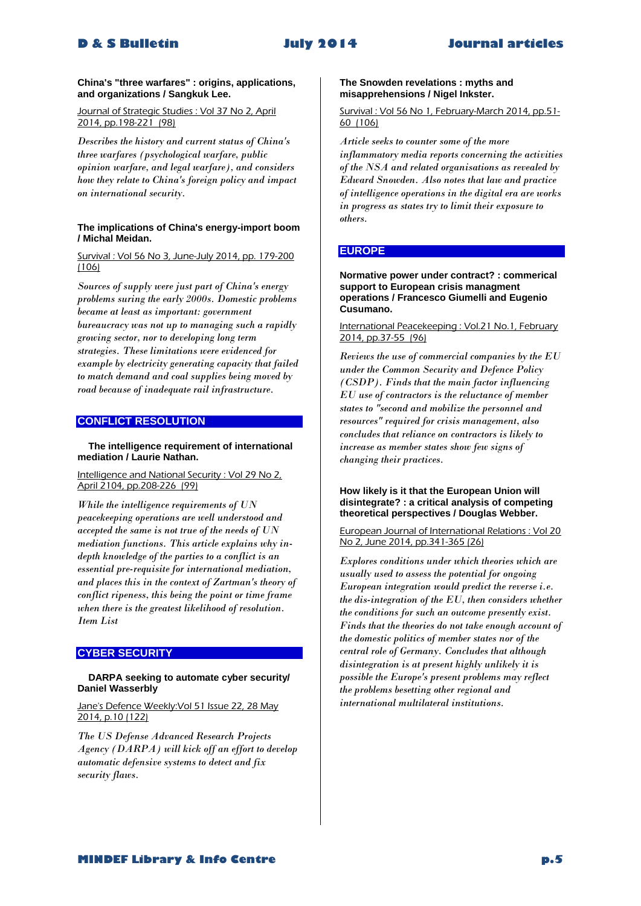## **China's "three warfares" : origins, applications, and organizations / Sangkuk Lee.**

Journal of Strategic Studies : Vol 37 No 2, April 2014, pp.198-221 (98)

*Describes the history and current status of China's three warfares (psychological warfare, public opinion warfare, and legal warfare), and considers how they relate to China's foreign policy and impact on international security.* 

#### **The implications of China's energy-import boom / Michal Meidan.**

Survival : Vol 56 No 3, June-July 2014, pp. 179-200 (106)

*Sources of supply were just part of China's energy problems suring the early 2000s. Domestic problems became at least as important: government bureaucracy was not up to managing such a rapidly growing sector, nor to developing long term strategies. These limitations were evidenced for example by electricity generating capacity that failed to match demand and coal supplies being moved by road because of inadequate rail infrastructure.* 

# **CONFLICT RESOLUTION**

 **The intelligence requirement of international mediation / Laurie Nathan.**

Intelligence and National Security : Vol 29 No 2, April 2104, pp.208-226 (99)

*While the intelligence requirements of UN peacekeeping operations are well understood and accepted the same is not true of the needs of UN mediation functions. This article explains why indepth knowledge of the parties to a conflict is an essential pre-requisite for international mediation, and places this in the context of Zartman's theory of conflict ripeness, this being the point or time frame when there is the greatest likelihood of resolution. Item List* 

# **CYBER SECURITY**

## **DARPA seeking to automate cyber security/ Daniel Wasserbly**

Jane's Defence Weekly:Vol 51 Issue 22, 28 May 2014, p.10 (122)

*The US Defense Advanced Research Projects Agency (DARPA) will kick off an effort to develop automatic defensive systems to detect and fix security flaws.* 

#### **The Snowden revelations : myths and misapprehensions / Nigel Inkster.**

Survival : Vol 56 No 1, February-March 2014, pp.51-60 (106)

*Article seeks to counter some of the more inflammatory media reports concerning the activities of the NSA and related organisations as revealed by Edward Snowden. Also notes that law and practice of intelligence operations in the digital era are works in progress as states try to limit their exposure to others.* 

# **EUROPE**

**Normative power under contract? : commerical support to European crisis managment operations / Francesco Giumelli and Eugenio Cusumano.**

International Peacekeeping : Vol.21 No.1, February 2014, pp.37-55 (96)

*Reviews the use of commercial companies by the EU under the Common Security and Defence Policy (CSDP). Finds that the main factor influencing EU use of contractors is the reluctance of member states to "second and mobilize the personnel and resources" required for crisis management, also concludes that reliance on contractors is likely to increase as member states show few signs of changing their practices.* 

#### **How likely is it that the European Union will disintegrate? : a critical analysis of competing theoretical perspectives / Douglas Webber.**

European Journal of International Relations : Vol 20 No 2, June 2014, pp.341-365 (26)

*Explores conditions under which theories which are usually used to assess the potential for ongoing European integration would predict the reverse i.e. the dis-integration of the EU, then considers whether the conditions for such an outcome presently exist. Finds that the theories do not take enough account of the domestic politics of member states nor of the central role of Germany. Concludes that although disintegration is at present highly unlikely it is possible the Europe's present problems may reflect the problems besetting other regional and international multilateral institutions.*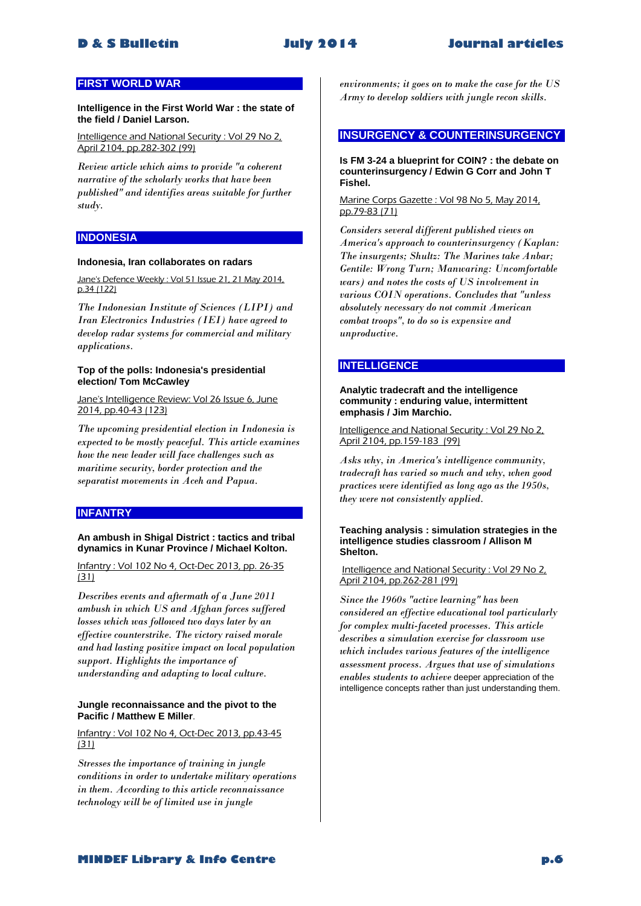# **FIRST WORLD WAR**

**Intelligence in the First World War : the state of the field / Daniel Larson.** 

Intelligence and National Security : Vol 29 No 2, April 2104, pp.282-302 (99)

*Review article which aims to provide "a coherent narrative of the scholarly works that have been published" and identifies areas suitable for further study.* 

#### **INDONESIA**

#### **Indonesia, Iran collaborates on radars**

Jane's Defence Weekly : Vol 51 Issue 21, 21 May 2014, p.34 (122)

*The Indonesian Institute of Sciences (LIPI) and Iran Electronics Industries (IEI) have agreed to develop radar systems for commercial and military applications.* 

#### **Top of the polls: Indonesia's presidential election/ Tom McCawley**

Jane's Intelligence Review: Vol 26 Issue 6, June 2014, pp.40-43 (123)

*The upcoming presidential election in Indonesia is expected to be mostly peaceful. This article examines how the new leader will face challenges such as maritime security, border protection and the separatist movements in Aceh and Papua.* 

# **INFANTRY**

#### **An ambush in Shigal District : tactics and tribal dynamics in Kunar Province / Michael Kolton.**

Infantry : Vol 102 No 4, Oct-Dec 2013, pp. 26-35 (31)

*Describes events and aftermath of a June 2011 ambush in which US and Afghan forces suffered losses which was followed two days later by an effective counterstrike. The victory raised morale and had lasting positive impact on local population support. Highlights the importance of understanding and adapting to local culture.* 

#### **Jungle reconnaissance and the pivot to the Pacific / Matthew E Miller**.

Infantry : Vol 102 No 4, Oct-Dec 2013, pp.43-45 (31)

*Stresses the importance of training in jungle conditions in order to undertake military operations in them. According to this article reconnaissance technology will be of limited use in jungle* 

*environments; it goes on to make the case for the US Army to develop soldiers with jungle recon skills.* 

# **INSURGENCY & COUNTERINSURGENCY**

**Is FM 3-24 a blueprint for COIN? : the debate on counterinsurgency / Edwin G Corr and John T Fishel.**

#### Marine Corps Gazette : Vol 98 No 5, May 2014, pp.79-83 (71)

*Considers several different published views on America's approach to counterinsurgency (Kaplan: The insurgents; Shultz: The Marines take Anbar; Gentile: Wrong Turn; Manwaring: Uncomfortable wars) and notes the costs of US involvement in various COIN operations. Concludes that "unless absolutely necessary do not commit American combat troops", to do so is expensive and unproductive.* 

# **INTELLIGENCE**

#### **Analytic tradecraft and the intelligence community : enduring value, intermittent emphasis / Jim Marchio.**

Intelligence and National Security : Vol 29 No 2, April 2104, pp.159-183 (99)

*Asks why, in America's intelligence community, tradecraft has varied so much and why, when good practices were identified as long ago as the 1950s, they were not consistently applied.* 

#### **Teaching analysis : simulation strategies in the intelligence studies classroom / Allison M Shelton.**

#### Intelligence and National Security : Vol 29 No 2, April 2104, pp.262-281 (99)

*Since the 1960s "active learning" has been considered an effective educational tool particularly for complex multi-faceted processes. This article describes a simulation exercise for classroom use which includes various features of the intelligence assessment process. Argues that use of simulations enables students to achieve* deeper appreciation of the intelligence concepts rather than just understanding them.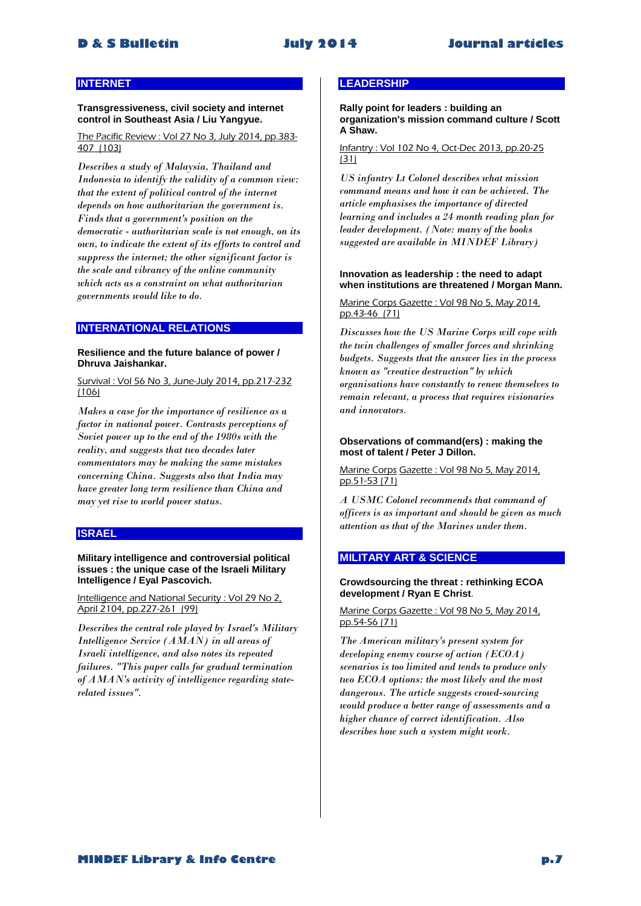# **INTERNET**

#### **Transgressiveness, civil society and internet control in Southeast Asia / Liu Yangyue.**

The Pacific Review : Vol 27 No 3, July 2014, pp.383- 407 (103)

*Describes a study of Malaysia, Thailand and Indonesia to identify the validity of a common view: that the extent of political control of the internet depends on how authoritarian the government is. Finds that a government's position on the democratic - authoritarian scale is not enough, on its own, to indicate the extent of its efforts to control and suppress the internet; the other significant factor is the scale and vibrancy of the online community which acts as a constraint on what authoritarian governments would like to do.* 

# **INTERNATIONAL RELATIONS**

**Resilience and the future balance of power / Dhruva Jaishankar.** 

Survival : Vol 56 No 3, June-July 2014, pp.217-232 (106)

*Makes a case for the importance of resilience as a factor in national power. Contrasts perceptions of Soviet power up to the end of the 1980s with the reality, and suggests that two decades later commentators may be making the same mistakes concerning China. Suggests also that India may have greater long term resilience than China and may yet rise to world power status.* 

# **ISRAEL**

#### **Military intelligence and controversial political issues : the unique case of the Israeli Military Intelligence / Eyal Pascovich.**

Intelligence and National Security : Vol 29 No 2, April 2104, pp.227-261 (99)

*Describes the central role played by Israel's Military Intelligence Service (AMAN) in all areas of Israeli intelligence, and also notes its repeated failures. "This paper calls for gradual termination of AMAN's activity of intelligence regarding staterelated issues".* 

# **LEADERSHIP**

**Rally point for leaders : building an organization's mission command culture / Scott A Shaw.**

### Infantry : Vol 102 No 4, Oct-Dec 2013, pp.20-25 (31)

*US infantry Lt Colonel describes what mission command means and how it can be achieved. The article emphasises the importance of directed learning and includes a 24 month reading plan for leader development. (Note: many of the books suggested are available in MINDEF Library)* 

#### **Innovation as leadership : the need to adapt when institutions are threatened / Morgan Mann.**

#### Marine Corps Gazette : Vol 98 No 5, May 2014, pp.43-46 (71)

*Discusses how the US Marine Corps will cope with the twin challenges of smaller forces and shrinking budgets. Suggests that the answer lies in the process known as "creative destruction" by which organisations have constantly to renew themselves to remain relevant, a process that requires visionaries and innovators*.

#### **Observations of command(ers) : making the most of talent / Peter J Dillon.**

Marine Corps Gazette : Vol 98 No 5, May 2014, pp.51-53 (71)

*A USMC Colonel recommends that command of officers is as important and should be given as much attention as that of the Marines under them.* 

#### **MILITARY ART & SCIENCE**

#### **Crowdsourcing the threat : rethinking ECOA development / Ryan E Christ**.

Marine Corps Gazette : Vol 98 No 5, May 2014, pp.54-56 (71)

*The American military's present system for developing enemy course of action (ECOA) scenarios is too limited and tends to produce only two ECOA options: the most likely and the most dangerous. The article suggests crowd-sourcing would produce a better range of assessments and a higher chance of correct identification. Also describes how such a system might work.*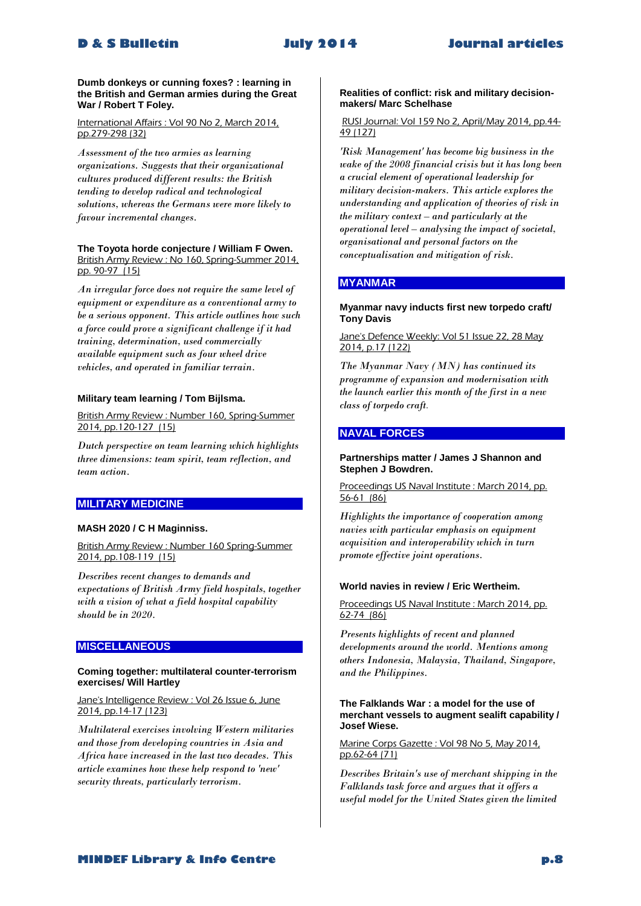**Dumb donkeys or cunning foxes? : learning in the British and German armies during the Great War / Robert T Foley.** 

#### International Affairs : Vol 90 No 2, March 2014, pp.279-298 (32)

*Assessment of the two armies as learning organizations. Suggests that their organizational cultures produced different results: the British tending to develop radical and technological solutions, whereas the Germans were more likely to favour incremental changes.* 

# **The Toyota horde conjecture / William F Owen.**

British Army Review : No 160, Spring-Summer 2014, pp. 90-97 (15)

*An irregular force does not require the same level of equipment or expenditure as a conventional army to be a serious opponent. This article outlines how such a force could prove a significant challenge if it had training, determination, used commercially available equipment such as four wheel drive vehicles, and operated in familiar terrain.* 

# **Military team learning / Tom Bijlsma.**

British Army Review : Number 160, Spring-Summer 2014, pp.120-127 (15)

*Dutch perspective on team learning which highlights three dimensions: team spirit, team reflection, and team action.* 

# **MILITARY MEDICINE**

#### **MASH 2020 / C H Maginniss.**

British Army Review : Number 160 Spring-Summer 2014, pp.108-119 (15)

*Describes recent changes to demands and expectations of British Army field hospitals, together with a vision of what a field hospital capability should be in 2020.* 

# **MISCELLANEOUS**

#### **Coming together: multilateral counter-terrorism exercises/ Will Hartley**

#### Jane's Intelligence Review : Vol 26 Issue 6, June 2014, pp.14-17 (123)

*Multilateral exercises involving Western militaries and those from developing countries in Asia and Africa have increased in the last two decades. This article examines how these help respond to 'new' security threats, particularly terrorism.* 

**Realities of conflict: risk and military decisionmakers/ Marc Schelhase**

# RUSI Journal: Vol 159 No 2, April/May 2014, pp.44- 49 (127)

*'Risk Management' has become big business in the wake of the 2008 financial crisis but it has long been a crucial element of operational leadership for military decision-makers. This article explores the understanding and application of theories of risk in the military context – and particularly at the operational level – analysing the impact of societal, organisational and personal factors on the conceptualisation and mitigation of risk.* 

# **MYANMAR**

# **Myanmar navy inducts first new torpedo craft/ Tony Davis**

Jane's Defence Weekly: Vol 51 Issue 22, 28 May 2014, p.17 (122)

*The Myanmar Navy (MN) has continued its programme of expansion and modernisation with the launch earlier this month of the first in a new class of torpedo craft*.

# **NAVAL FORCES**

# **Partnerships matter / James J Shannon and Stephen J Bowdren.**

Proceedings US Naval Institute : March 2014, pp. 56-61 (86)

*Highlights the importance of cooperation among navies with particular emphasis on equipment acquisition and interoperability which in turn promote effective joint operations.* 

#### **World navies in review / Eric Wertheim.**

Proceedings US Naval Institute : March 2014, pp. 62-74 (86)

*Presents highlights of recent and planned developments around the world. Mentions among others Indonesia, Malaysia, Thailand, Singapore, and the Philippines.* 

#### **The Falklands War : a model for the use of merchant vessels to augment sealift capability / Josef Wiese.**

### Marine Corps Gazette : Vol 98 No 5, May 2014, pp.62-64 (71)

*Describes Britain's use of merchant shipping in the Falklands task force and argues that it offers a useful model for the United States given the limited*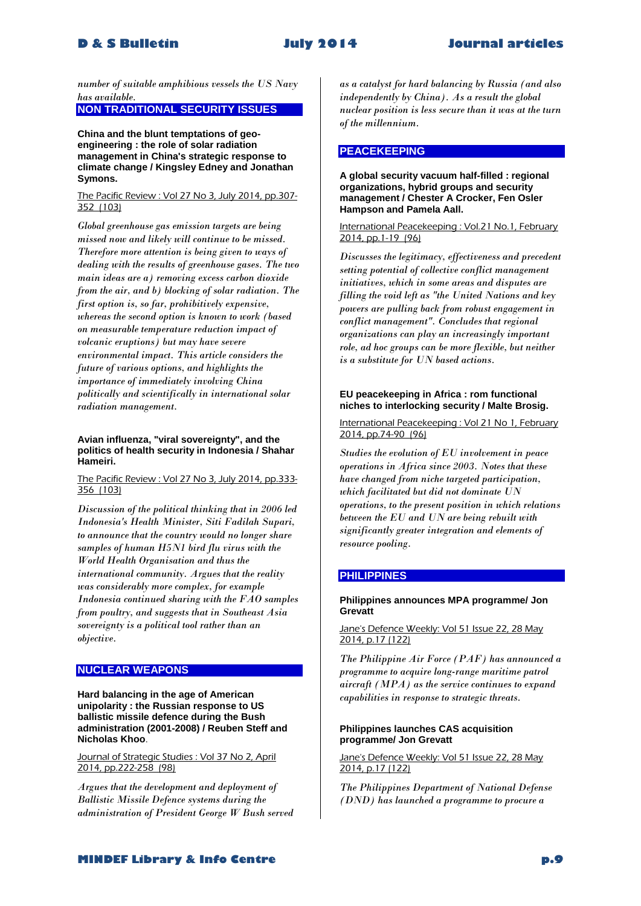*number of suitable amphibious vessels the US Navy has available.* 

**NON TRADITIONAL SECURITY ISSUES**

**China and the blunt temptations of geoengineering : the role of solar radiation management in China's strategic response to climate change / Kingsley Edney and Jonathan Symons.** 

The Pacific Review : Vol 27 No 3, July 2014, pp.307- 352 (103)

*Global greenhouse gas emission targets are being missed now and likely will continue to be missed. Therefore more attention is being given to ways of dealing with the results of greenhouse gases. The two main ideas are a) removing excess carbon dioxide from the air, and b) blocking of solar radiation. The first option is, so far, prohibitively expensive, whereas the second option is known to work (based on measurable temperature reduction impact of volcanic eruptions) but may have severe environmental impact. This article considers the future of various options, and highlights the importance of immediately involving China politically and scientifically in international solar radiation management.* 

#### **Avian influenza, "viral sovereignty", and the politics of health security in Indonesia / Shahar Hameiri.**

The Pacific Review : Vol 27 No 3, July 2014, pp.333- 356 (103)

*Discussion of the political thinking that in 2006 led Indonesia's Health Minister, Siti Fadilah Supari, to announce that the country would no longer share samples of human H5N1 bird flu virus with the World Health Organisation and thus the international community. Argues that the reality was considerably more complex, for example Indonesia continued sharing with the FAO samples from poultry, and suggests that in Southeast Asia sovereignty is a political tool rather than an objective.* 

# **NUCLEAR WEAPONS**

**Hard balancing in the age of American unipolarity : the Russian response to US ballistic missile defence during the Bush administration (2001-2008) / Reuben Steff and Nicholas Khoo**.

Journal of Strategic Studies : Vol 37 No 2, April 2014, pp.222-258 (98)

*Argues that the development and deployment of Ballistic Missile Defence systems during the administration of President George W Bush served*  *as a catalyst for hard balancing by Russia (and also independently by China). As a result the global nuclear position is less secure than it was at the turn of the millennium.* 

## **PEACEKEEPING**

**A global security vacuum half-filled : regional organizations, hybrid groups and security management / Chester A Crocker, Fen Osler Hampson and Pamela Aall.**

International Peacekeeping : Vol.21 No.1, February 2014, pp.1-19 (96)

*Discusses the legitimacy, effectiveness and precedent setting potential of collective conflict management initiatives, which in some areas and disputes are filling the void left as "the United Nations and key powers are pulling back from robust engagement in conflict management". Concludes that regional organizations can play an increasingly important role, ad hoc groups can be more flexible, but neither is a substitute for UN based actions.* 

## **EU peacekeeping in Africa : rom functional niches to interlocking security / Malte Brosig.**

International Peacekeeping : Vol 21 No 1, February 2014, pp.74-90 (96)

*Studies the evolution of EU involvement in peace operations in Africa since 2003. Notes that these have changed from niche targeted participation, which facilitated but did not dominate UN operations, to the present position in which relations between the EU and UN are being rebuilt with significantly greater integration and elements of resource pooling.* 

#### **PHILIPPINES**

#### **Philippines announces MPA programme/ Jon Grevatt**

Jane's Defence Weekly: Vol 51 Issue 22, 28 May 2014, p.17 (122)

*The Philippine Air Force (PAF) has announced a programme to acquire long-range maritime patrol aircraft (MPA) as the service continues to expand capabilities in response to strategic threats.* 

#### **Philippines launches CAS acquisition programme/ Jon Grevatt**

Jane's Defence Weekly: Vol 51 Issue 22, 28 May 2014, p.17 (122)

*The Philippines Department of National Defense (DND) has launched a programme to procure a*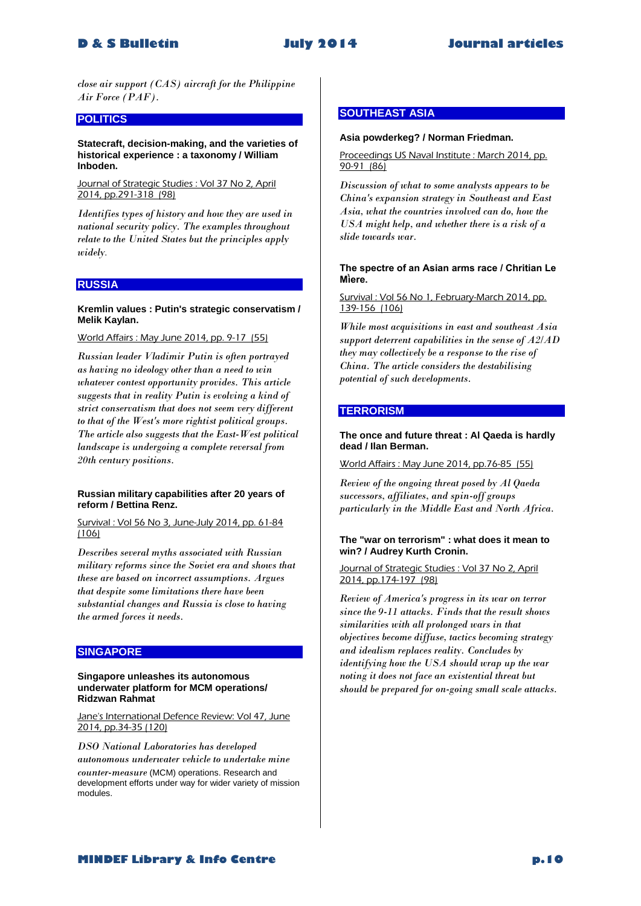*close air support (CAS) aircraft for the Philippine Air Force (PAF).* 

# **POLITICS**

**Statecraft, decision-making, and the varieties of historical experience : a taxonomy / William Inboden.** 

Journal of Strategic Studies : Vol 37 No 2, April 2014, pp.291-318 (98)

*Identifies types of history and how they are used in national security policy. The examples throughout relate to the United States but the principles apply widely*.

# **RUSSIA**

#### **Kremlin values : Putin's strategic conservatism / Melik Kaylan.**

#### World Affairs : May June 2014, pp. 9-17 (55)

*Russian leader Vladimir Putin is often portrayed as having no ideology other than a need to win whatever contest opportunity provides. This article suggests that in reality Putin is evolving a kind of strict conservatism that does not seem very different to that of the West's more rightist political groups. The article also suggests that the East-West political landscape is undergoing a complete reversal from 20th century positions.* 

#### **Russian military capabilities after 20 years of reform / Bettina Renz.**

Survival : Vol 56 No 3, June-July 2014, pp. 61-84 (106)

*Describes several myths associated with Russian military reforms since the Soviet era and shows that these are based on incorrect assumptions. Argues that despite some limitations there have been substantial changes and Russia is close to having the armed forces it needs.* 

#### **SINGAPORE**

#### **Singapore unleashes its autonomous underwater platform for MCM operations/ Ridzwan Rahmat**

Jane's International Defence Review: Vol 47, June 2014, pp.34-35 (120)

*DSO National Laboratories has developed autonomous underwater vehicle to undertake mine counter-measure* (MCM) operations. Research and development efforts under way for wider variety of mission modules.

# **SOUTHEAST ASIA**

#### **Asia powderkeg? / Norman Friedman.**

Proceedings US Naval Institute : March 2014, pp. 90-91 (86)

*Discussion of what to some analysts appears to be China's expansion strategy in Southeast and East Asia, what the countries involved can do, how the USA might help, and whether there is a risk of a slide towards war.* 

#### The spectre of an Asian arms race / Chritian Le Miere.

Survival : Vol 56 No 1, February-March 2014, pp. 139-156 (106)

*While most acquisitions in east and southeast Asia support deterrent capabilities in the sense of A2/AD they may collectively be a response to the rise of China. The article considers the destabilising potential of such developments.* 

# **TERRORISM**

## **The once and future threat : Al Qaeda is hardly dead / Ilan Berman.**

World Affairs : May June 2014, pp.76-85 (55)

*Review of the ongoing threat posed by Al Qaeda successors, affiliates, and spin-off groups particularly in the Middle East and North Africa.* 

#### **The "war on terrorism" : what does it mean to win? / Audrey Kurth Cronin.**

#### Journal of Strategic Studies : Vol 37 No 2, April 2014, pp.174-197 (98)

*Review of America's progress in its war on terror since the 9-11 attacks. Finds that the result shows similarities with all prolonged wars in that objectives become diffuse, tactics becoming strategy and idealism replaces reality. Concludes by identifying how the USA should wrap up the war noting it does not face an existential threat but should be prepared for on-going small scale attacks.*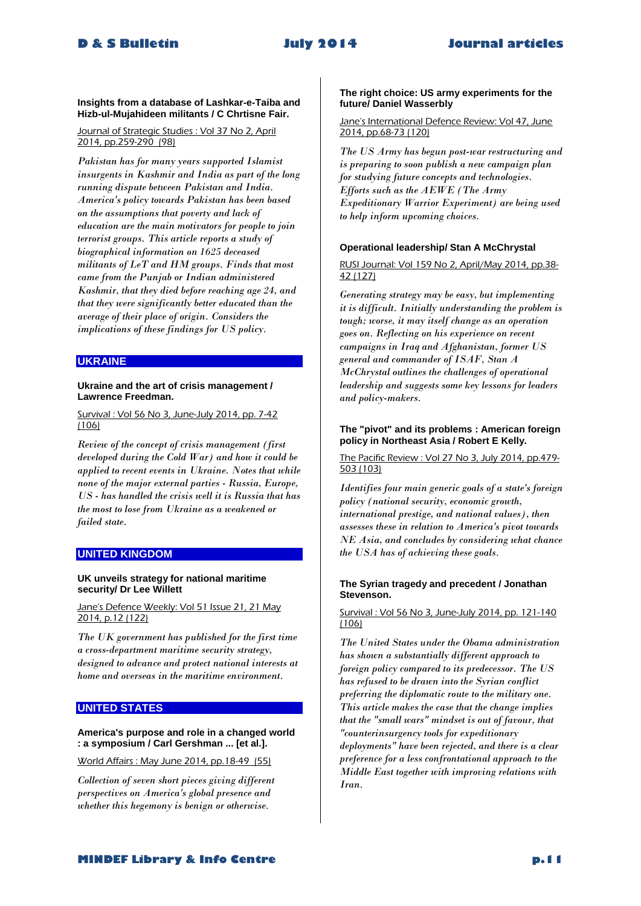**Insights from a database of Lashkar-e-Taiba and Hizb-ul-Mujahideen militants / C Chrtisne Fair.** 

### Journal of Strategic Studies : Vol 37 No 2, April 2014, pp.259-290 (98)

*Pakistan has for many years supported Islamist insurgents in Kashmir and India as part of the long running dispute between Pakistan and India. America's policy towards Pakistan has been based on the assumptions that poverty and lack of education are the main motivators for people to join terrorist groups. This article reports a study of biographical information on 1625 deceased militants of LeT and HM groups. Finds that most came from the Punjab or Indian administered Kashmir, that they died before reaching age 24, and that they were significantly better educated than the average of their place of origin. Considers the implications of these findings for US policy.* 

# **UKRAINE**

#### **Ukraine and the art of crisis management / Lawrence Freedman.**

Survival : Vol 56 No 3, June-July 2014, pp. 7-42 (106)

*Review of the concept of crisis management (first developed during the Cold War) and how it could be applied to recent events in Ukraine. Notes that while none of the major external parties - Russia, Europe, US - has handled the crisis well it is Russia that has the most to lose from Ukraine as a weakened or failed state.* 

# **UNITED KINGDOM**

#### **UK unveils strategy for national maritime security/ Dr Lee Willett**

Jane's Defence Weekly: Vol 51 Issue 21, 21 May 2014, p.12 (122)

*The UK government has published for the first time a cross-department maritime security strategy, designed to advance and protect national interests at home and overseas in the maritime environment.* 

# **UNITED STATES**

#### **America's purpose and role in a changed world : a symposium / Carl Gershman ... [et al.].**

World Affairs : May June 2014, pp.18-49 (55)

*Collection of seven short pieces giving different perspectives on America's global presence and whether this hegemony is benign or otherwise.* 

### **The right choice: US army experiments for the future/ Daniel Wasserbly**

Jane's International Defence Review: Vol 47, June 2014, pp.68-73 (120)

*The US Army has begun post-war restructuring and is preparing to soon publish a new campaign plan for studying future concepts and technologies. Efforts such as the AEWE (The Army Expeditionary Warrior Experiment) are being used to help inform upcoming choices.* 

# **Operational leadership/ Stan A McChrystal**

# RUSI Journal: Vol 159 No 2, April/May 2014, pp.38- 42 (127)

*Generating strategy may be easy, but implementing it is difficult. Initially understanding the problem is tough; worse, it may itself change as an operation goes on. Reflecting on his experience on recent campaigns in Iraq and Afghanistan, former US general and commander of ISAF, Stan A McChrystal outlines the challenges of operational leadership and suggests some key lessons for leaders and policy-makers.* 

### **The "pivot" and its problems : American foreign policy in Northeast Asia / Robert E Kelly.**

#### The Pacific Review : Vol 27 No 3, July 2014, pp.479- 503 (103)

*Identifies four main generic goals of a state's foreign policy (national security, economic growth, international prestige, and national values), then assesses these in relation to America's pivot towards NE Asia, and concludes by considering what chance the USA has of achieving these goals.* 

## **The Syrian tragedy and precedent / Jonathan Stevenson.**

## Survival : Vol 56 No 3, June-July 2014, pp. 121-140 (106)

*The United States under the Obama administration has shown a substantially different approach to foreign policy compared to its predecessor. The US has refused to be drawn into the Syrian conflict preferring the diplomatic route to the military one. This article makes the case that the change implies that the "small wars" mindset is out of favour, that "counterinsurgency tools for expeditionary deployments" have been rejected, and there is a clear preference for a less confrontational approach to the Middle East together with improving relations with Iran.*